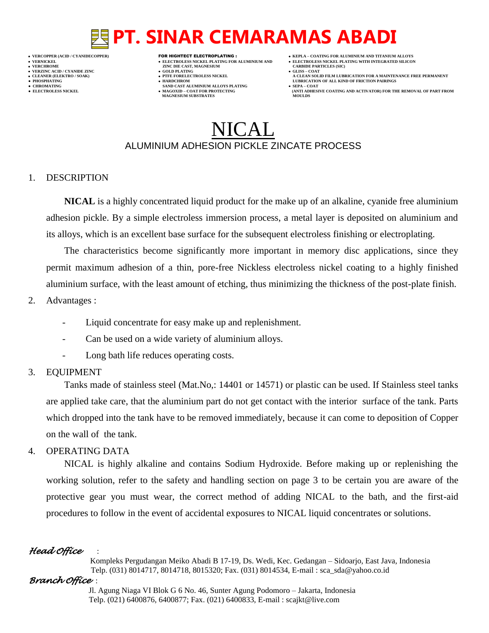- **VERT AND AGNESIUM CARBIDE PARTICLES (SILISS = COLD PLATING)**
- **VERZINC ACID / CYANIDE ZINC GOLD PLATING GLISS – COAT**
	-
- **● CHROMATING SAND CAST ALUMINIUM ALLOYS PLATING SEPA – COAT • MAGOXID – COAT FOR PROTECTING<br>MAGNESIUM SUBSTRATES**
- **VERCOPPER (ACID / CYANIDECOPPER)** FOR HIGHTECT ELECTROPLATING :  **KEPLA – COATING FOR ALUMINIUM AND TITANIUM ALLOYS**
- **VERNICKEL ELECTROLESS NICKEL PLATING FOR ALUMINIUM AND ELECTROLESS NICKEL PLATING WITH INTEGRATED SILICON**
	-
- **CLEANER (ELEKTRO / SOAK) PTFE FORELECTROLESS NICKEL A CLEAN SOLID FILM LUBRICATION FOR A MAINTENANCE FREE PERMANENT ● PHOSPHATING HARDCHROM LUBRICATION OF ALL KIND OF FRICTION PAIRINGS** 
	- **ELECTROLESS AND ACTIVATOR) FOR THE REMOVAL OF PART FROM (ANTI ADHESIVE COATING AND ACTIVATOR) FOR THE REMOVAL OF PART FROM**

## $\sf{HCAI}$  . ALUMINIUM ADHESION PICKLE ZINCATE PROCESS

#### 1. DESCRIPTION

**NICAL** is a highly concentrated liquid product for the make up of an alkaline, cyanide free aluminium adhesion pickle. By a simple electroless immersion process, a metal layer is deposited on aluminium and its alloys, which is an excellent base surface for the subsequent electroless finishing or electroplating.

The characteristics become significantly more important in memory disc applications, since they permit maximum adhesion of a thin, pore-free Nickless electroless nickel coating to a highly finished aluminium surface, with the least amount of etching, thus minimizing the thickness of the post-plate finish.

- 2. Advantages :
	- Liquid concentrate for easy make up and replenishment.
	- Can be used on a wide variety of aluminium alloys.
	- Long bath life reduces operating costs.

#### 3. EQUIPMENT

Tanks made of stainless steel (Mat.No,: 14401 or 14571) or plastic can be used. If Stainless steel tanks are applied take care, that the aluminium part do not get contact with the interior surface of the tank. Parts which dropped into the tank have to be removed immediately, because it can come to deposition of Copper on the wall of the tank.

### 4. OPERATING DATA

NICAL is highly alkaline and contains Sodium Hydroxide. Before making up or replenishing the working solution, refer to the safety and handling section on page 3 to be certain you are aware of the protective gear you must wear, the correct method of adding NICAL to the bath, and the first-aid procedures to follow in the event of accidental exposures to NICAL liquid concentrates or solutions.

### *Head Office* :

 Kompleks Pergudangan Meiko Abadi B 17-19, Ds. Wedi, Kec. Gedangan – Sidoarjo, East Java, Indonesia Telp. (031) 8014717, 8014718, 8015320; Fax. (031) 8014534, E-mail : sca\_sda@yahoo.co.id

### *Branch Office* :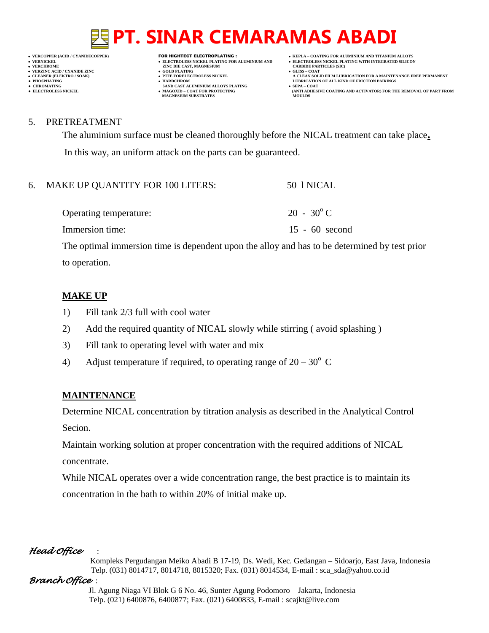## **VERNICKEL ELECTROLESS NICKEL PLATING FOR ALUMINIUM AND ELECTROLESS NICKEL PLATING WITH INTEGRATED SILICON**

- **VERT AND AGNESIUM CARBIDE PARTICLES (SOLD PLATING ASSESSMENT ASSESSMENT ASSESSMENT ASSESSMENT ASSESSMENT ASSESSMENT ASSESSMENT ASSESSMENT ASSESSMENT ASSESSMENT ASSESSMENT ASSESSMENT ASSESSMENT ASSESSMENT ASSESSMENT ASSESS**
- **VERZINC ACID / CYANIDE ZINC GOLD PLATING GLISS – COAT**
	-
- **● CHROMATING SAND CAST ALUMINIUM ALLOYS PLATING SEPA – COAT MAGNESIUM SUBSTRATES MOULDS**
- **VERCOPPER (ACID / CYANIDECOPPER)** FOR HIGHTECT ELECTROPLATING :  **KEPLA – COATING FOR ALUMINIUM AND TITANIUM ALLOYS**
	-
- **CLEANER (ELEKTRO / SOAK) PTFE FORELECTROLESS NICKEL A CLEAN SOLID FILM LUBRICATION FOR A MAINTENANCE FREE PERMANENT ● PHOSPHATING HARDCHROM LUBRICATION OF ALL KIND OF FRICTION PAIRINGS**
- **• ELECTROLESS NICKEL <b>MAGOXID COAT FOR PROTECTING (ANTI ADDITION** FOR THE REMOVAL OF PART FROM **AND ACTIVATOR**) FOR THE REMOVAL OF PART FROM **AND ACTIVATOR** (ANTI ADHESIVE COATING AND ACTIVATOR) FOR THE REMOVAL OF P

#### 5. PRETREATMENT

The aluminium surface must be cleaned thoroughly before the NICAL treatment can take place**.** In this way, an uniform attack on the parts can be guaranteed.

| 6. MAKE UP QUANTITY FOR 100 LITERS: | 50 I NICAL          |
|-------------------------------------|---------------------|
| Operating temperature:              | $20 - 30^{\circ}$ C |
| Immersion time:                     | $15 - 60$ second    |

The optimal immersion time is dependent upon the alloy and has to be determined by test prior to operation.

#### **MAKE UP**

- 1) Fill tank 2/3 full with cool water
- 2) Add the required quantity of NICAL slowly while stirring ( avoid splashing )
- 3) Fill tank to operating level with water and mix
- 4) Adjust temperature if required, to operating range of  $20-30^{\circ}$  C

### **MAINTENANCE**

Determine NICAL concentration by titration analysis as described in the Analytical Control Secion.

Maintain working solution at proper concentration with the required additions of NICAL concentrate.

While NICAL operates over a wide concentration range, the best practice is to maintain its concentration in the bath to within 20% of initial make up.

### *Head Office* :

 Kompleks Pergudangan Meiko Abadi B 17-19, Ds. Wedi, Kec. Gedangan – Sidoarjo, East Java, Indonesia Telp. (031) 8014717, 8014718, 8015320; Fax. (031) 8014534, E-mail : sca\_sda@yahoo.co.id

### *Branch Office* :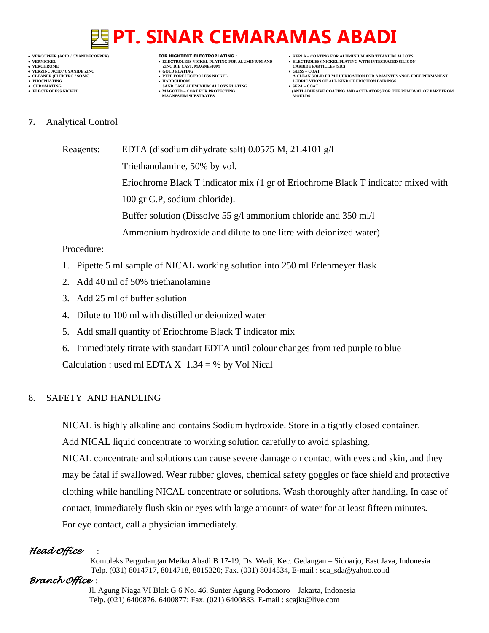- 
- 
- 

- **VERT AND AGNESIUM CARBIDE PARTICLES (SILISS = COLD PLATING)**
- **VERZINC ACID / CYANIDE ZINC GOLD PLATING GLISS – COAT**
	-
- **● CHROMATING SAND CAST ALUMINIUM ALLOYS PLATING SEPA – COAT MAGNESIUM SUBSTRATES MOULDS**
- **VERCOPPER (ACID / CYANIDECOPPER)** FOR HIGHTECT ELECTROPLATING :  **KEPLA – COATING FOR ALUMINIUM AND TITANIUM ALLOYS**
- **VERNICKEL ELECTROLESS NICKEL PLATING FOR ALUMINIUM AND ELECTROLESS NICKEL PLATING WITH INTEGRATED SILICON**
	-
- **CLEANER (ELEKTRO / SOAK) PTFE FORELECTROLESS NICKEL A CLEAN SOLID FILM LUBRICATION FOR A MAINTENANCE FREE PERMANENT ● PHOSPHATING HARDCHROM LUBRICATION OF ALL KIND OF FRICTION PAIRINGS**
- **• ELECTROLESS NICKEL <b>MAGOXID COAT FOR PROTECTING (ANTI ADDITION** FOR THE REMOVAL OF PART FROM **AND ACTIVATOR**) FOR THE REMOVAL OF PART FROM **AND ACTIVATOR** (ANTI ADHESIVE COATING AND ACTIVATOR) FOR THE REMOVAL OF P
- **7.** Analytical Control

Reagents: EDTA (disodium dihydrate salt) 0.0575 M, 21.4101 g/l Triethanolamine, 50% by vol. Eriochrome Black T indicator mix (1 gr of Eriochrome Black T indicator mixed with 100 gr C.P, sodium chloride). Buffer solution (Dissolve 55 g/l ammonium chloride and 350 ml/l Ammonium hydroxide and dilute to one litre with deionized water)

### Procedure:

- 1. Pipette 5 ml sample of NICAL working solution into 250 ml Erlenmeyer flask
- 2. Add 40 ml of 50% triethanolamine
- 3. Add 25 ml of buffer solution
- 4. Dilute to 100 ml with distilled or deionized water
- 5. Add small quantity of Eriochrome Black T indicator mix
- 6. Immediately titrate with standart EDTA until colour changes from red purple to blue

Calculation : used ml EDTA  $X$  1.34 = % by Vol Nical

### 8. SAFETY AND HANDLING

NICAL is highly alkaline and contains Sodium hydroxide. Store in a tightly closed container.

Add NICAL liquid concentrate to working solution carefully to avoid splashing.

NICAL concentrate and solutions can cause severe damage on contact with eyes and skin, and they may be fatal if swallowed. Wear rubber gloves, chemical safety goggles or face shield and protective clothing while handling NICAL concentrate or solutions. Wash thoroughly after handling. In case of contact, immediately flush skin or eyes with large amounts of water for at least fifteen minutes. For eye contact, call a physician immediately.

### *Head Office* :

 Kompleks Pergudangan Meiko Abadi B 17-19, Ds. Wedi, Kec. Gedangan – Sidoarjo, East Java, Indonesia Telp. (031) 8014717, 8014718, 8015320; Fax. (031) 8014534, E-mail : sca\_sda@yahoo.co.id

### *Branch Office* :